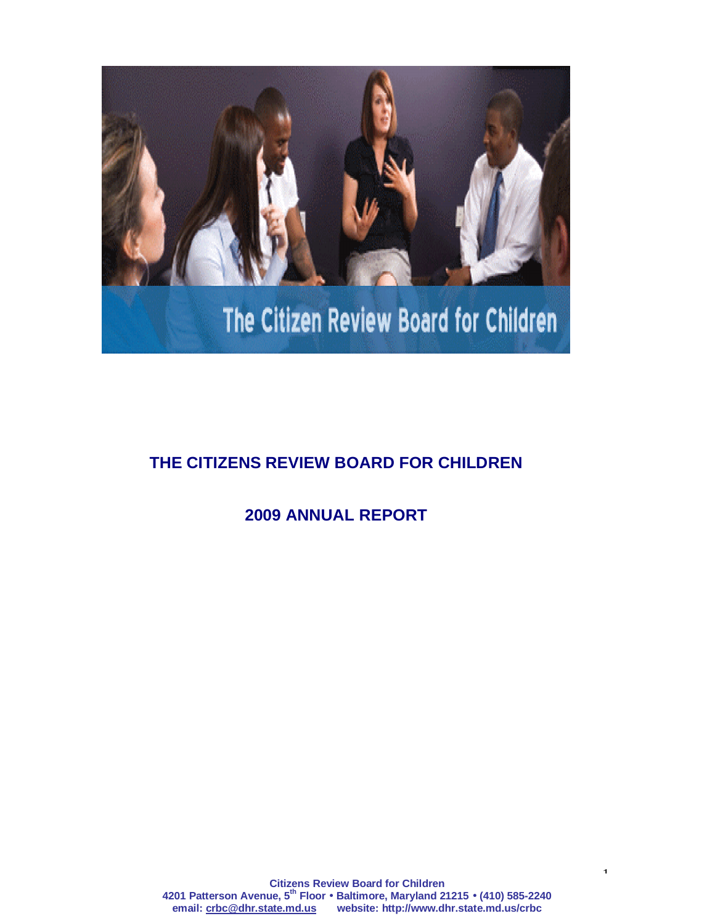

# The Citizen Review Board for Children

## **THE CITIZENS REVIEW BOARD FOR CHILDREN**

**2009 ANNUAL REPORT**

1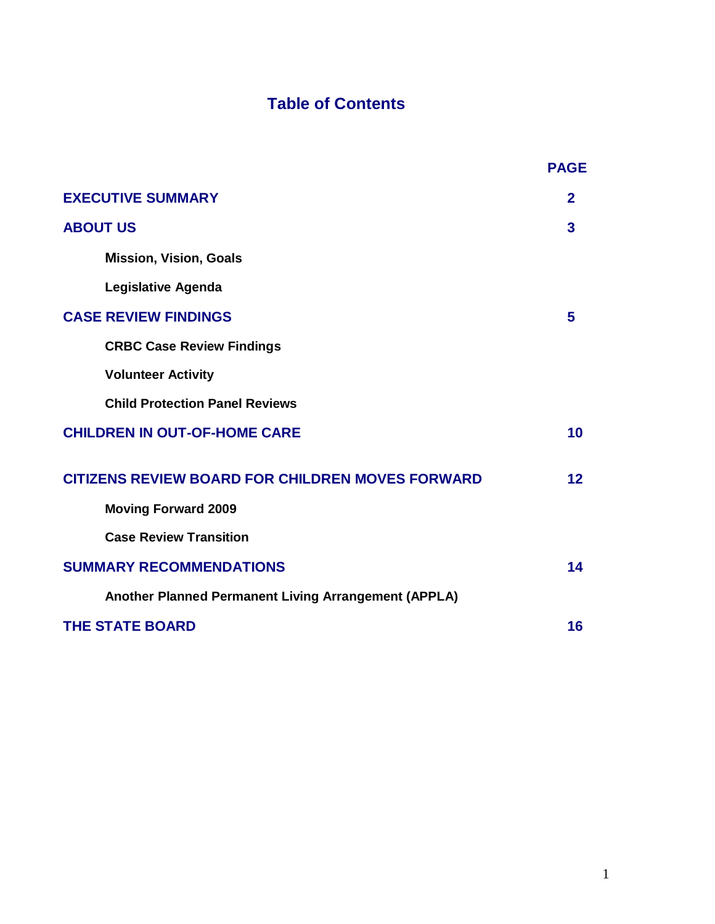# **Table of Contents**

|                                                         | <b>PAGE</b>    |
|---------------------------------------------------------|----------------|
| <b>EXECUTIVE SUMMARY</b>                                | $\overline{2}$ |
| <b>ABOUT US</b>                                         | 3              |
| <b>Mission, Vision, Goals</b>                           |                |
| <b>Legislative Agenda</b>                               |                |
| <b>CASE REVIEW FINDINGS</b>                             | 5              |
| <b>CRBC Case Review Findings</b>                        |                |
| <b>Volunteer Activity</b>                               |                |
| <b>Child Protection Panel Reviews</b>                   |                |
| <b>CHILDREN IN OUT-OF-HOME CARE</b>                     | 10             |
| <b>CITIZENS REVIEW BOARD FOR CHILDREN MOVES FORWARD</b> | 12             |
| <b>Moving Forward 2009</b>                              |                |
| <b>Case Review Transition</b>                           |                |
| <b>SUMMARY RECOMMENDATIONS</b>                          | 14             |
| Another Planned Permanent Living Arrangement (APPLA)    |                |
| <b>THE STATE BOARD</b>                                  | 16             |
|                                                         |                |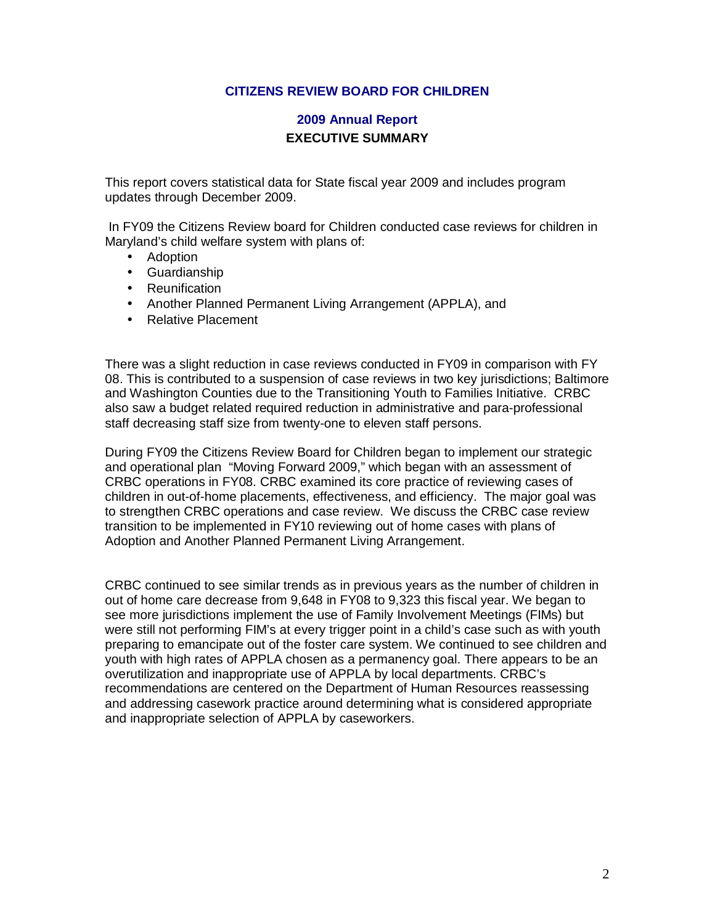#### **CITIZENS REVIEW BOARD FOR CHILDREN**

#### **2009 Annual Report EXECUTIVE SUMMARY**

This report covers statistical data for State fiscal year 2009 and includes program updates through December 2009.

 In FY09 the Citizens Review board for Children conducted case reviews for children in Maryland's child welfare system with plans of:

- Adoption
- Guardianship
- Reunification
- Another Planned Permanent Living Arrangement (APPLA), and
- Relative Placement

There was a slight reduction in case reviews conducted in FY09 in comparison with FY 08. This is contributed to a suspension of case reviews in two key jurisdictions; Baltimore and Washington Counties due to the Transitioning Youth to Families Initiative. CRBC also saw a budget related required reduction in administrative and para-professional staff decreasing staff size from twenty-one to eleven staff persons.

During FY09 the Citizens Review Board for Children began to implement our strategic and operational plan "Moving Forward 2009," which began with an assessment of CRBC operations in FY08. CRBC examined its core practice of reviewing cases of children in out-of-home placements, effectiveness, and efficiency. The major goal was to strengthen CRBC operations and case review. We discuss the CRBC case review transition to be implemented in FY10 reviewing out of home cases with plans of Adoption and Another Planned Permanent Living Arrangement.

CRBC continued to see similar trends as in previous years as the number of children in out of home care decrease from 9,648 in FY08 to 9,323 this fiscal year. We began to see more jurisdictions implement the use of Family Involvement Meetings (FIMs) but were still not performing FIM's at every trigger point in a child's case such as with youth preparing to emancipate out of the foster care system. We continued to see children and youth with high rates of APPLA chosen as a permanency goal. There appears to be an overutilization and inappropriate use of APPLA by local departments. CRBC's recommendations are centered on the Department of Human Resources reassessing and addressing casework practice around determining what is considered appropriate and inappropriate selection of APPLA by caseworkers.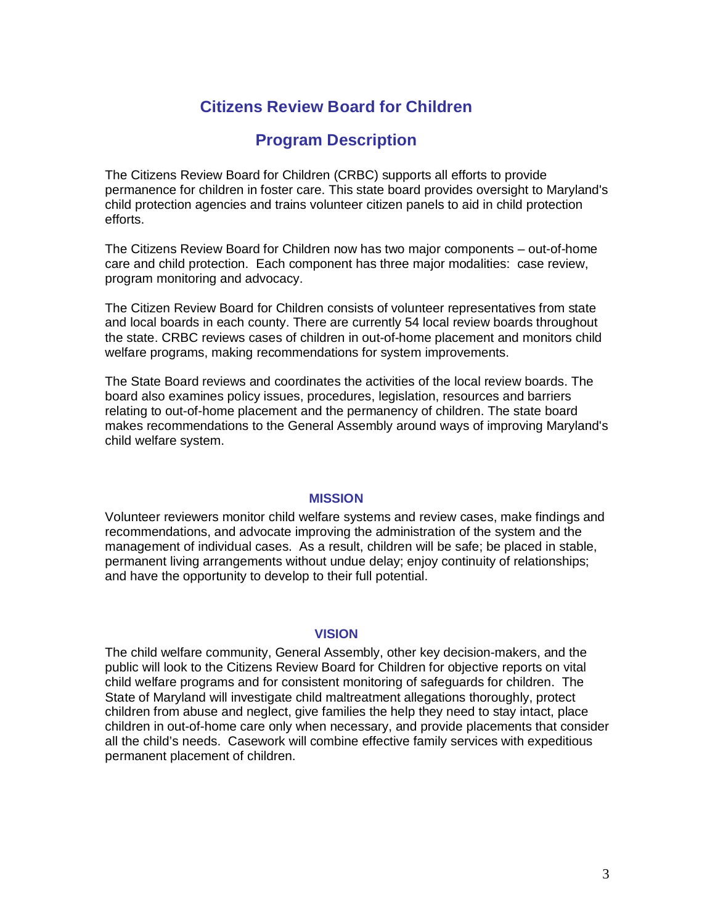## **Citizens Review Board for Children**

## **Program Description**

The Citizens Review Board for Children (CRBC) supports all efforts to provide permanence for children in foster care. This state board provides oversight to Maryland's child protection agencies and trains volunteer citizen panels to aid in child protection efforts.

The Citizens Review Board for Children now has two major components – out-of-home care and child protection. Each component has three major modalities: case review, program monitoring and advocacy.

The Citizen Review Board for Children consists of volunteer representatives from state and local boards in each county. There are currently 54 local review boards throughout the state. CRBC reviews cases of children in out-of-home placement and monitors child welfare programs, making recommendations for system improvements.

The State Board reviews and coordinates the activities of the local review boards. The board also examines policy issues, procedures, legislation, resources and barriers relating to out-of-home placement and the permanency of children. The state board makes recommendations to the General Assembly around ways of improving Maryland's child welfare system.

#### **MISSION**

Volunteer reviewers monitor child welfare systems and review cases, make findings and recommendations, and advocate improving the administration of the system and the management of individual cases. As a result, children will be safe; be placed in stable, permanent living arrangements without undue delay; enjoy continuity of relationships; and have the opportunity to develop to their full potential.

#### **VISION**

The child welfare community, General Assembly, other key decision-makers, and the public will look to the Citizens Review Board for Children for objective reports on vital child welfare programs and for consistent monitoring of safeguards for children. The State of Maryland will investigate child maltreatment allegations thoroughly, protect children from abuse and neglect, give families the help they need to stay intact, place children in out-of-home care only when necessary, and provide placements that consider all the child's needs. Casework will combine effective family services with expeditious permanent placement of children.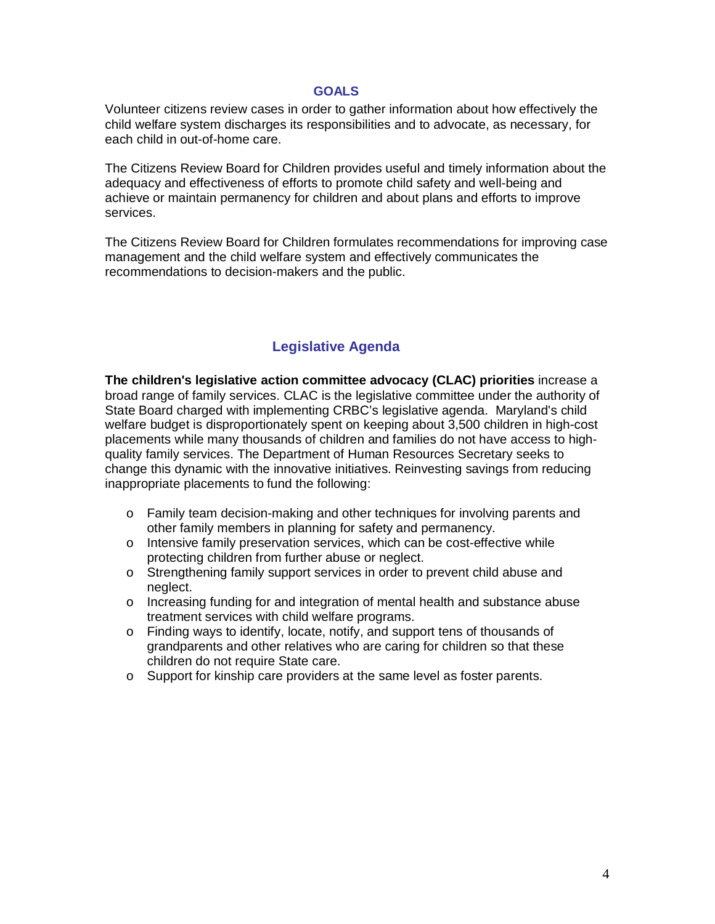#### **GOALS**

Volunteer citizens review cases in order to gather information about how effectively the child welfare system discharges its responsibilities and to advocate, as necessary, for each child in out-of-home care.

The Citizens Review Board for Children provides useful and timely information about the adequacy and effectiveness of efforts to promote child safety and well-being and achieve or maintain permanency for children and about plans and efforts to improve services.

The Citizens Review Board for Children formulates recommendations for improving case management and the child welfare system and effectively communicates the recommendations to decision-makers and the public.

#### **Legislative Agenda**

**The children's legislative action committee advocacy (CLAC) priorities** increase a broad range of family services. CLAC is the legislative committee under the authority of State Board charged with implementing CRBC's legislative agenda. Maryland's child welfare budget is disproportionately spent on keeping about 3,500 children in high-cost placements while many thousands of children and families do not have access to highquality family services. The Department of Human Resources Secretary seeks to change this dynamic with the innovative initiatives. Reinvesting savings from reducing inappropriate placements to fund the following:

- o Family team decision-making and other techniques for involving parents and other family members in planning for safety and permanency.
- o Intensive family preservation services, which can be cost-effective while protecting children from further abuse or neglect.
- o Strengthening family support services in order to prevent child abuse and neglect.
- o Increasing funding for and integration of mental health and substance abuse treatment services with child welfare programs.
- o Finding ways to identify, locate, notify, and support tens of thousands of grandparents and other relatives who are caring for children so that these children do not require State care.
- o Support for kinship care providers at the same level as foster parents.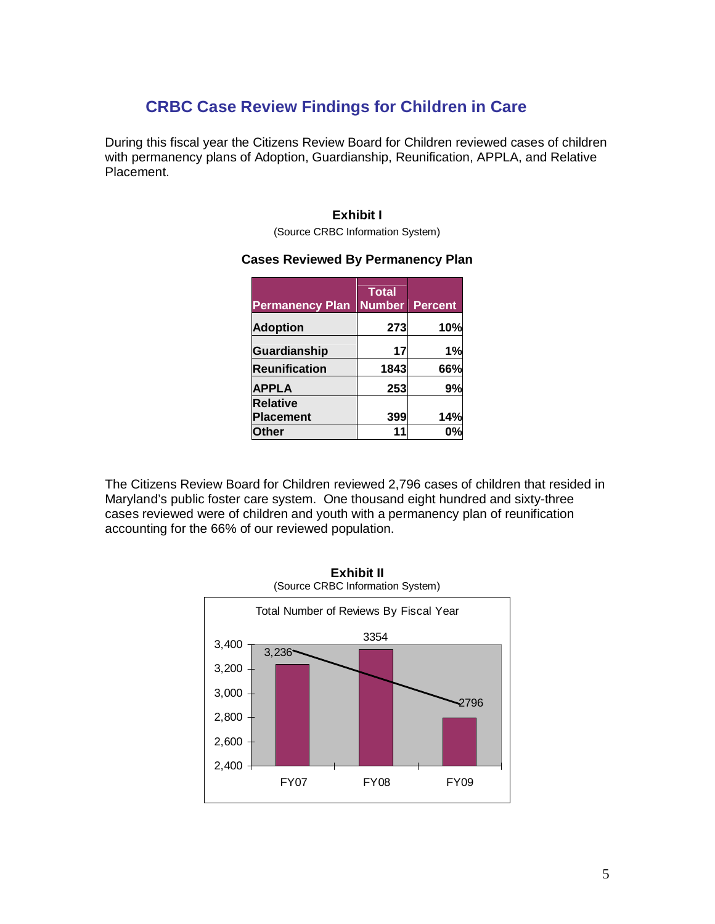## **CRBC Case Review Findings for Children in Care**

During this fiscal year the Citizens Review Board for Children reviewed cases of children with permanency plans of Adoption, Guardianship, Reunification, APPLA, and Relative Placement.

#### **Exhibit I**

(Source CRBC Information System)

#### **Cases Reviewed By Permanency Plan**

| <b>Permanency Plan</b> | <b>Total</b><br><b>Number</b> | <b>Percent</b> |
|------------------------|-------------------------------|----------------|
| <b>Adoption</b>        | 273                           | 10%            |
| <b>Guardianship</b>    | 17                            | 1%             |
| <b>Reunification</b>   | 1843                          | 66%            |
| <b>APPLA</b>           | 253                           | 9%             |
| <b>Relative</b>        |                               |                |
| <b>Placement</b>       | 399                           | 14%            |
| <b>ther</b>            |                               |                |

The Citizens Review Board for Children reviewed 2,796 cases of children that resided in Maryland's public foster care system. One thousand eight hundred and sixty-three cases reviewed were of children and youth with a permanency plan of reunification accounting for the 66% of our reviewed population.



**Exhibit II**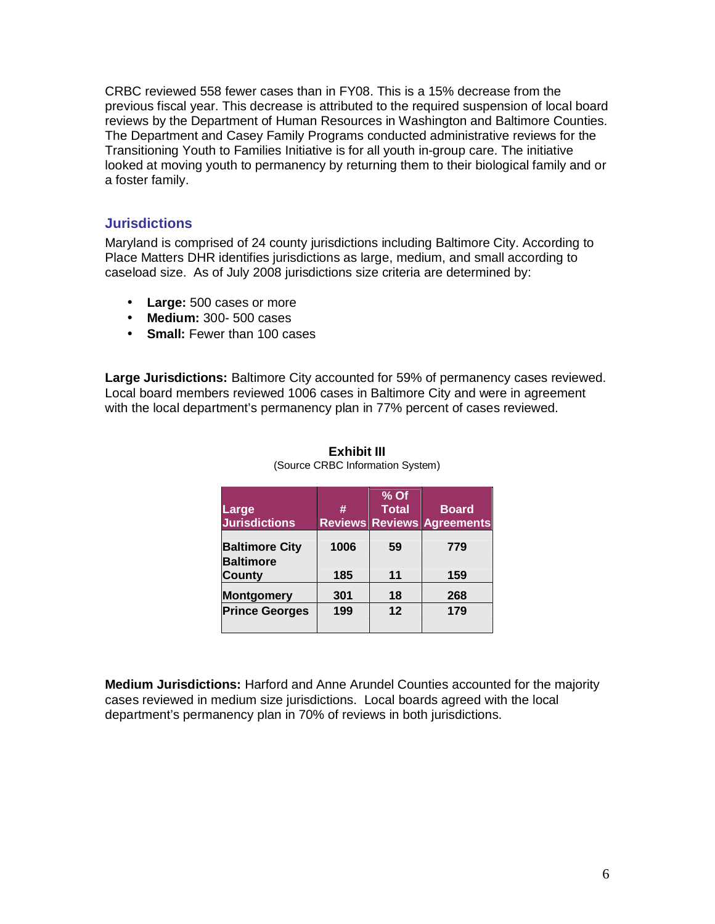CRBC reviewed 558 fewer cases than in FY08. This is a 15% decrease from the previous fiscal year. This decrease is attributed to the required suspension of local board reviews by the Department of Human Resources in Washington and Baltimore Counties. The Department and Casey Family Programs conducted administrative reviews for the Transitioning Youth to Families Initiative is for all youth in-group care. The initiative looked at moving youth to permanency by returning them to their biological family and or a foster family.

#### **Jurisdictions**

Maryland is comprised of 24 county jurisdictions including Baltimore City. According to Place Matters DHR identifies jurisdictions as large, medium, and small according to caseload size. As of July 2008 jurisdictions size criteria are determined by:

- **Large:** 500 cases or more
- **Medium:** 300- 500 cases
- **Small:** Fewer than 100 cases

**Large Jurisdictions:** Baltimore City accounted for 59% of permanency cases reviewed. Local board members reviewed 1006 cases in Baltimore City and were in agreement with the local department's permanency plan in 77% percent of cases reviewed.

| Large<br><b>Jurisdictions</b> | #    | % Of<br><b>Total</b> | <b>Board</b><br><b>Reviews Reviews Agreements</b> |
|-------------------------------|------|----------------------|---------------------------------------------------|
| <b>Baltimore City</b>         | 1006 | 59                   | 779                                               |
| <b>Baltimore</b>              |      |                      |                                                   |
| <b>County</b>                 | 185  | 11                   | 159                                               |
| <b>Montgomery</b>             | 301  | 18                   | 268                                               |
| <b>Prince Georges</b>         | 199  | 12                   | 179                                               |
|                               |      |                      |                                                   |

#### **Exhibit III** (Source CRBC Information System)

**Medium Jurisdictions:** Harford and Anne Arundel Counties accounted for the majority cases reviewed in medium size jurisdictions. Local boards agreed with the local department's permanency plan in 70% of reviews in both jurisdictions.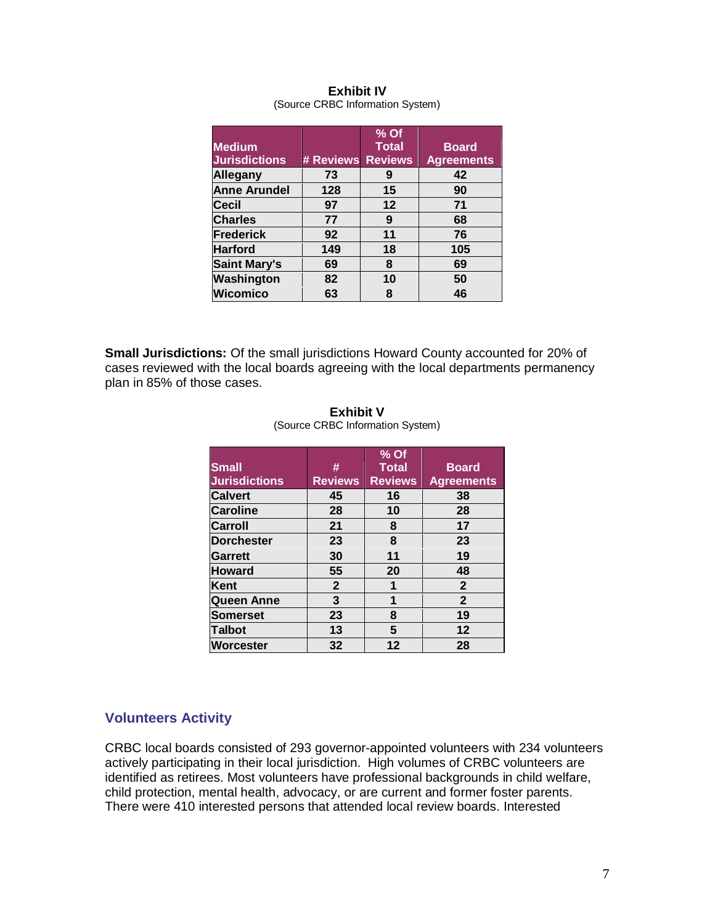|                      |           | % Of           |                   |
|----------------------|-----------|----------------|-------------------|
| <b>Medium</b>        |           | <b>Total</b>   | <b>Board</b>      |
| <b>Jurisdictions</b> | # Reviews | <b>Reviews</b> | <b>Agreements</b> |
| Allegany             | 73        | 9              | 42                |
| <b>Anne Arundel</b>  | 128       | 15             | 90                |
| <b>Cecil</b>         | 97        | 12             | 71                |
| <b>Charles</b>       | 77        | 9              | 68                |
| <b>Frederick</b>     | 92        | 11             | 76                |
| <b>Harford</b>       | 149       | 18             | 105               |
| <b>Saint Mary's</b>  | 69        | 8              | 69                |
| Washington           | 82        | 10             | 50                |
| <b>Wicomico</b>      | 63        | 8              | 46                |

#### **Exhibit IV** (Source CRBC Information System)

**Small Jurisdictions:** Of the small jurisdictions Howard County accounted for 20% of cases reviewed with the local boards agreeing with the local departments permanency plan in 85% of those cases.

|                      |                | $%$ Of         |                   |
|----------------------|----------------|----------------|-------------------|
| <b>Small</b>         | #              | <b>Total</b>   | <b>Board</b>      |
| <b>Jurisdictions</b> | <b>Reviews</b> | <b>Reviews</b> | <b>Agreements</b> |
| <b>Calvert</b>       | 45             | 16             | 38                |
| <b>Caroline</b>      | 28             | 10             | 28                |
| Carroll              | 21             | 8              | 17                |
| <b>Dorchester</b>    | 23             | 8              | 23                |
| Garrett              | 30             | 11             | 19                |
| <b>Howard</b>        | 55             | 20             | 48                |
| Kent                 | $\mathbf{2}$   | 1              | $\mathbf{2}$      |
| <b>Queen Anne</b>    | 3              | 1              | $\overline{2}$    |
| Somerset             | 23             | 8              | 19                |
| <b>Talbot</b>        | 13             | 5              | 12                |
| Worcester            | 32             | 12             | 28                |

#### **Exhibit V** (Source CRBC Information System)

#### **Volunteers Activity**

CRBC local boards consisted of 293 governor-appointed volunteers with 234 volunteers actively participating in their local jurisdiction. High volumes of CRBC volunteers are identified as retirees. Most volunteers have professional backgrounds in child welfare, child protection, mental health, advocacy, or are current and former foster parents. There were 410 interested persons that attended local review boards. Interested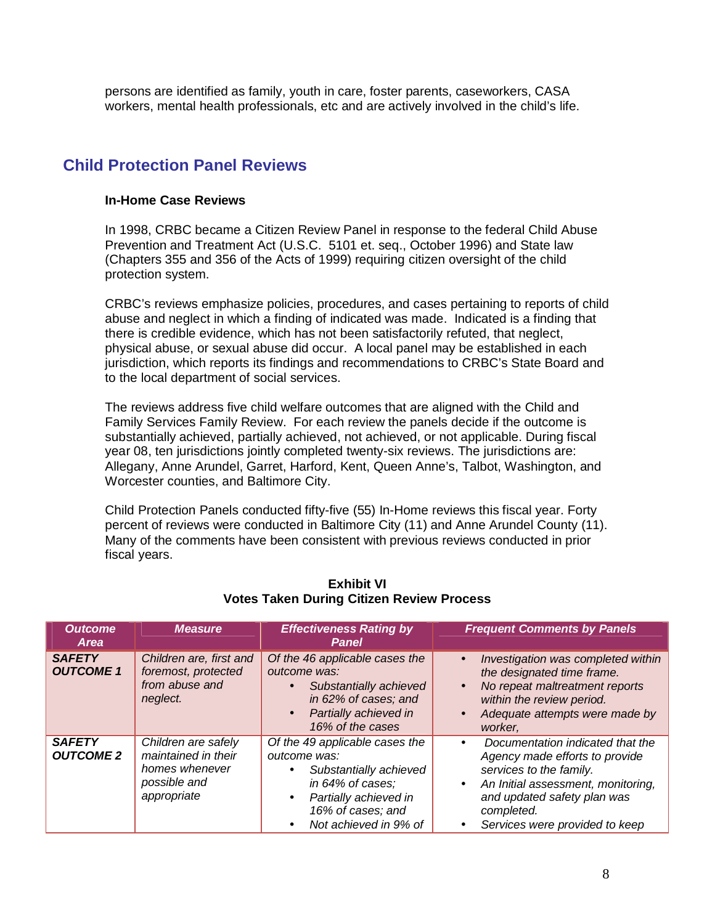persons are identified as family, youth in care, foster parents, caseworkers, CASA workers, mental health professionals, etc and are actively involved in the child's life.

## **Child Protection Panel Reviews**

#### **In-Home Case Reviews**

In 1998, CRBC became a Citizen Review Panel in response to the federal Child Abuse Prevention and Treatment Act (U.S.C. 5101 et. seq., October 1996) and State law (Chapters 355 and 356 of the Acts of 1999) requiring citizen oversight of the child protection system.

CRBC's reviews emphasize policies, procedures, and cases pertaining to reports of child abuse and neglect in which a finding of indicated was made. Indicated is a finding that there is credible evidence, which has not been satisfactorily refuted, that neglect, physical abuse, or sexual abuse did occur. A local panel may be established in each jurisdiction, which reports its findings and recommendations to CRBC's State Board and to the local department of social services.

The reviews address five child welfare outcomes that are aligned with the Child and Family Services Family Review. For each review the panels decide if the outcome is substantially achieved, partially achieved, not achieved, or not applicable. During fiscal year 08, ten jurisdictions jointly completed twenty-six reviews. The jurisdictions are: Allegany, Anne Arundel, Garret, Harford, Kent, Queen Anne's, Talbot, Washington, and Worcester counties, and Baltimore City.

Child Protection Panels conducted fifty-five (55) In-Home reviews this fiscal year. Forty percent of reviews were conducted in Baltimore City (11) and Anne Arundel County (11). Many of the comments have been consistent with previous reviews conducted in prior fiscal years.

| <b>Outcome</b><br>Area            | <b>Measure</b>                                                                              | <b>Effectiveness Rating by</b><br><b>Panel</b>                                                                                                                                                             | <b>Frequent Comments by Panels</b>                                                                                                                                                                                                           |
|-----------------------------------|---------------------------------------------------------------------------------------------|------------------------------------------------------------------------------------------------------------------------------------------------------------------------------------------------------------|----------------------------------------------------------------------------------------------------------------------------------------------------------------------------------------------------------------------------------------------|
| <b>SAFETY</b><br><b>OUTCOME 1</b> | Children are, first and<br>foremost, protected<br>from abuse and<br>neglect.                | Of the 46 applicable cases the<br>outcome was:<br>Substantially achieved<br>$\bullet$<br>in 62% of cases; and<br>Partially achieved in<br>$\bullet$<br>16% of the cases                                    | Investigation was completed within<br>$\bullet$<br>the designated time frame.<br>No repeat maltreatment reports<br>$\bullet$<br>within the review period.<br>Adequate attempts were made by<br>worker.                                       |
| <b>SAFETY</b><br><b>OUTCOME 2</b> | Children are safely<br>maintained in their<br>homes whenever<br>possible and<br>appropriate | Of the 49 applicable cases the<br>outcome was:<br>Substantially achieved<br>$\bullet$<br>in 64% of cases;<br>Partially achieved in<br>$\bullet$<br>16% of cases; and<br>Not achieved in 9% of<br>$\bullet$ | Documentation indicated that the<br>$\bullet$<br>Agency made efforts to provide<br>services to the family.<br>An Initial assessment, monitoring,<br>$\bullet$<br>and updated safety plan was<br>completed.<br>Services were provided to keep |

#### **Exhibit VI Votes Taken During Citizen Review Process**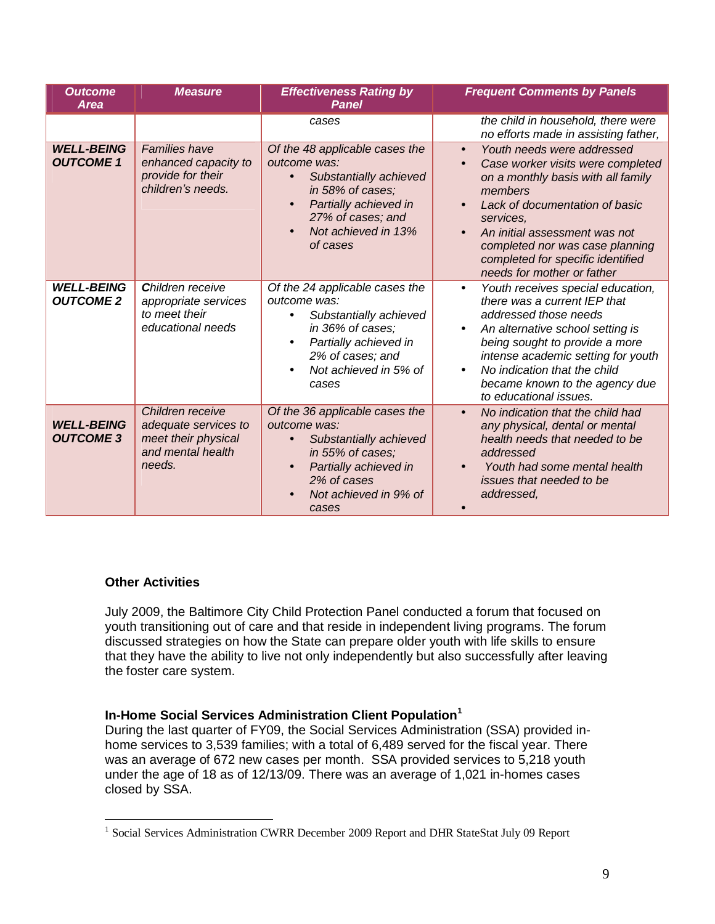| <b>Outcome</b><br><b>Area</b>         | <b>Measure</b>                                                                                 | <b>Effectiveness Rating by</b><br><b>Panel</b>                                                                                                                                                        | <b>Frequent Comments by Panels</b>                                                                                                                                                                                                                                                                                                                         |
|---------------------------------------|------------------------------------------------------------------------------------------------|-------------------------------------------------------------------------------------------------------------------------------------------------------------------------------------------------------|------------------------------------------------------------------------------------------------------------------------------------------------------------------------------------------------------------------------------------------------------------------------------------------------------------------------------------------------------------|
|                                       |                                                                                                | cases                                                                                                                                                                                                 | the child in household, there were<br>no efforts made in assisting father,                                                                                                                                                                                                                                                                                 |
| <b>WELL-BEING</b><br><b>OUTCOME 1</b> | <b>Families have</b><br>enhanced capacity to<br>provide for their<br>children's needs.         | Of the 48 applicable cases the<br>outcome was:<br>Substantially achieved<br>in 58% of cases;<br>Partially achieved in<br>$\bullet$<br>27% of cases; and<br>Not achieved in 13%<br>of cases            | Youth needs were addressed<br>$\bullet$<br>Case worker visits were completed<br>$\bullet$<br>on a monthly basis with all family<br>members<br>Lack of documentation of basic<br>$\bullet$<br>services,<br>An initial assessment was not<br>$\bullet$<br>completed nor was case planning<br>completed for specific identified<br>needs for mother or father |
| <b>WELL-BEING</b><br><b>OUTCOME 2</b> | <b>Children receive</b><br>appropriate services<br>to meet their<br>educational needs          | Of the 24 applicable cases the<br>outcome was:<br>Substantially achieved<br>$\bullet$<br>in 36% of cases;<br>Partially achieved in<br>$\bullet$<br>2% of cases; and<br>Not achieved in 5% of<br>cases | Youth receives special education,<br>$\bullet$<br>there was a current IEP that<br>addressed those needs<br>An alternative school setting is<br>$\bullet$<br>being sought to provide a more<br>intense academic setting for youth<br>No indication that the child<br>$\bullet$<br>became known to the agency due<br>to educational issues.                  |
| <b>WELL-BEING</b><br><b>OUTCOME 3</b> | Children receive<br>adequate services to<br>meet their physical<br>and mental health<br>needs. | Of the 36 applicable cases the<br>outcome was:<br>Substantially achieved<br>in 55% of cases;<br>Partially achieved in<br>$\bullet$<br>2% of cases<br>Not achieved in 9% of<br>cases                   | No indication that the child had<br>$\bullet$<br>any physical, dental or mental<br>health needs that needed to be<br>addressed<br>Youth had some mental health<br>issues that needed to be<br>addressed,                                                                                                                                                   |

#### **Other Activities**

July 2009, the Baltimore City Child Protection Panel conducted a forum that focused on youth transitioning out of care and that reside in independent living programs. The forum discussed strategies on how the State can prepare older youth with life skills to ensure that they have the ability to live not only independently but also successfully after leaving the foster care system.

#### **In-Home Social Services Administration Client Population<sup>1</sup>**

During the last quarter of FY09, the Social Services Administration (SSA) provided inhome services to 3,539 families; with a total of 6,489 served for the fiscal year. There was an average of 672 new cases per month. SSA provided services to 5,218 youth under the age of 18 as of 12/13/09. There was an average of 1,021 in-homes cases closed by SSA.

<sup>&</sup>lt;sup>1</sup> Social Services Administration CWRR December 2009 Report and DHR StateStat July 09 Report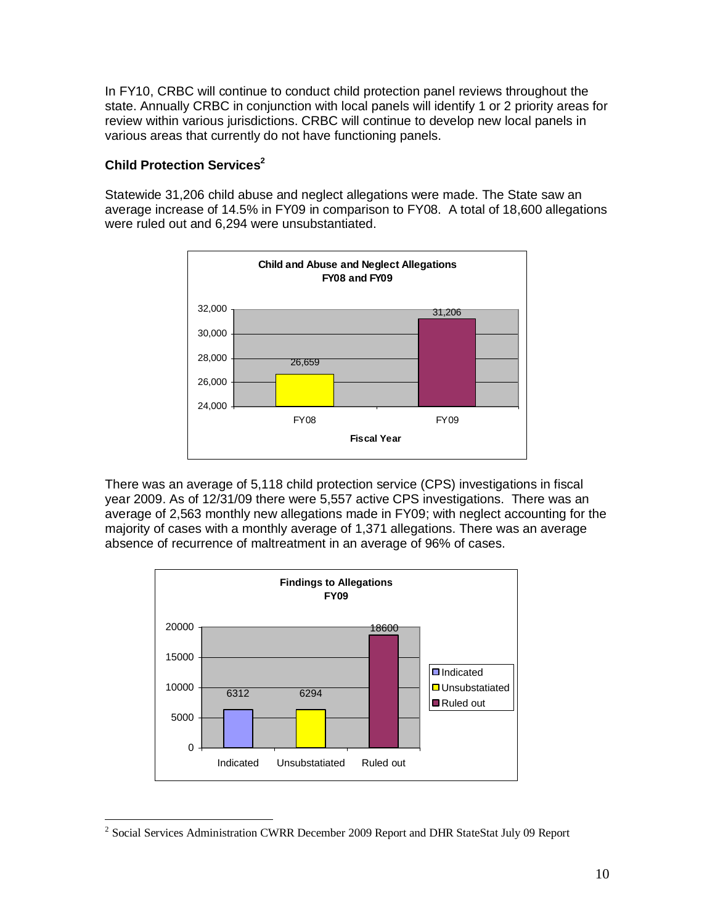In FY10, CRBC will continue to conduct child protection panel reviews throughout the state. Annually CRBC in conjunction with local panels will identify 1 or 2 priority areas for review within various jurisdictions. CRBC will continue to develop new local panels in various areas that currently do not have functioning panels.

#### **Child Protection Services<sup>2</sup>**

Statewide 31,206 child abuse and neglect allegations were made. The State saw an average increase of 14.5% in FY09 in comparison to FY08. A total of 18,600 allegations were ruled out and 6,294 were unsubstantiated.



There was an average of 5,118 child protection service (CPS) investigations in fiscal year 2009. As of 12/31/09 there were 5,557 active CPS investigations. There was an average of 2,563 monthly new allegations made in FY09; with neglect accounting for the majority of cases with a monthly average of 1,371 allegations. There was an average absence of recurrence of maltreatment in an average of 96% of cases.



<sup>&</sup>lt;sup>2</sup> Social Services Administration CWRR December 2009 Report and DHR StateStat July 09 Report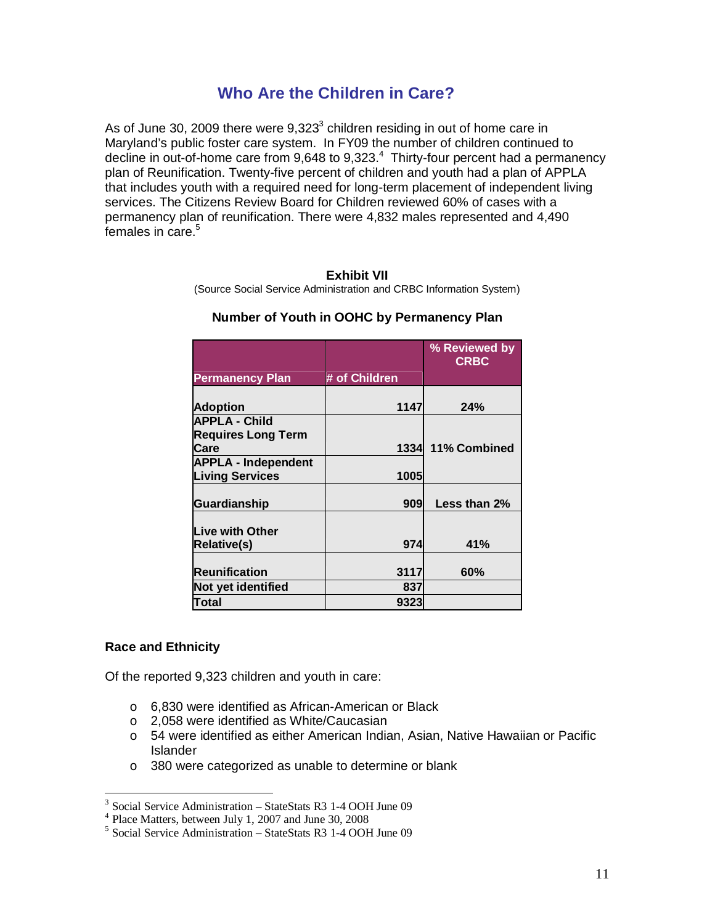### **Who Are the Children in Care?**

As of June 30, 2009 there were  $9,323^3$  children residing in out of home care in Maryland's public foster care system. In FY09 the number of children continued to decline in out-of-home care from 9,648 to 9,323.<sup>4</sup> Thirty-four percent had a permanency plan of Reunification. Twenty-five percent of children and youth had a plan of APPLA that includes youth with a required need for long-term placement of independent living services. The Citizens Review Board for Children reviewed 60% of cases with a permanency plan of reunification. There were 4,832 males represented and 4,490 females in care.<sup>5</sup>

#### **Exhibit VII**

(Source Social Service Administration and CRBC Information System)

|                            |               | % Reviewed by<br><b>CRBC</b> |
|----------------------------|---------------|------------------------------|
| <b>Permanency Plan</b>     | # of Children |                              |
|                            |               |                              |
| <b>Adoption</b>            | 1147          | 24%                          |
| <b>APPLA - Child</b>       |               |                              |
| <b>Requires Long Term</b>  |               |                              |
| Care                       | 1334          | 11% Combined                 |
| <b>APPLA - Independent</b> |               |                              |
| <b>Living Services</b>     | 1005          |                              |
|                            |               |                              |
| Guardianship               | 909           | Less than 2%                 |
| Live with Other            |               |                              |
| <b>Relative(s)</b>         | 974           | 41%                          |
|                            |               |                              |
| <b>Reunification</b>       | 3117          | 60%                          |
| Not yet identified         | 837           |                              |
| Total                      | 9323          |                              |

#### **Number of Youth in OOHC by Permanency Plan**

#### **Race and Ethnicity**

Of the reported 9,323 children and youth in care:

- o 6,830 were identified as African-American or Black
- o 2,058 were identified as White/Caucasian
- o 54 were identified as either American Indian, Asian, Native Hawaiian or Pacific Islander
- o 380 were categorized as unable to determine or blank

<sup>&</sup>lt;sup>3</sup> Social Service Administration – StateStats R3 1-4 OOH June 09

<sup>&</sup>lt;sup>4</sup> Place Matters, between July 1, 2007 and June 30, 2008

<sup>5</sup> Social Service Administration – StateStats R3 1-4 OOH June 09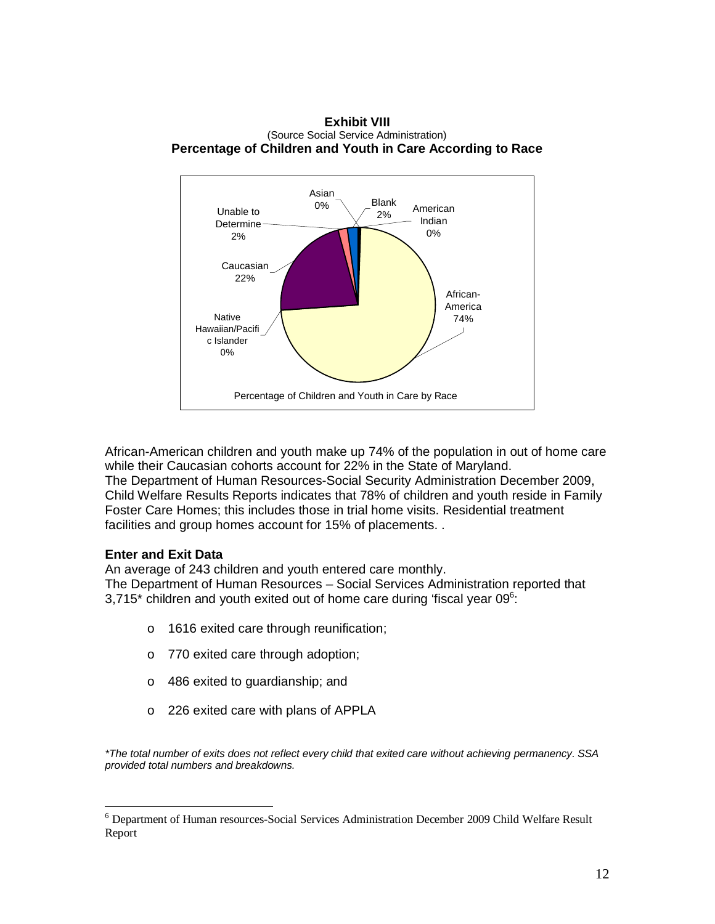



African-American children and youth make up 74% of the population in out of home care while their Caucasian cohorts account for 22% in the State of Maryland. The Department of Human Resources-Social Security Administration December 2009, Child Welfare Results Reports indicates that 78% of children and youth reside in Family Foster Care Homes; this includes those in trial home visits. Residential treatment facilities and group homes account for 15% of placements. .

#### **Enter and Exit Data**

An average of 243 children and youth entered care monthly. The Department of Human Resources – Social Services Administration reported that 3,715\* children and youth exited out of home care during 'fiscal year 09 $6$ :

- o 1616 exited care through reunification;
- o 770 exited care through adoption;
- o 486 exited to guardianship; and
- o 226 exited care with plans of APPLA

*\*The total number of exits does not reflect every child that exited care without achieving permanency*. *SSA provided total numbers and breakdowns.*

<sup>&</sup>lt;sup>6</sup> Department of Human resources-Social Services Administration December 2009 Child Welfare Result Report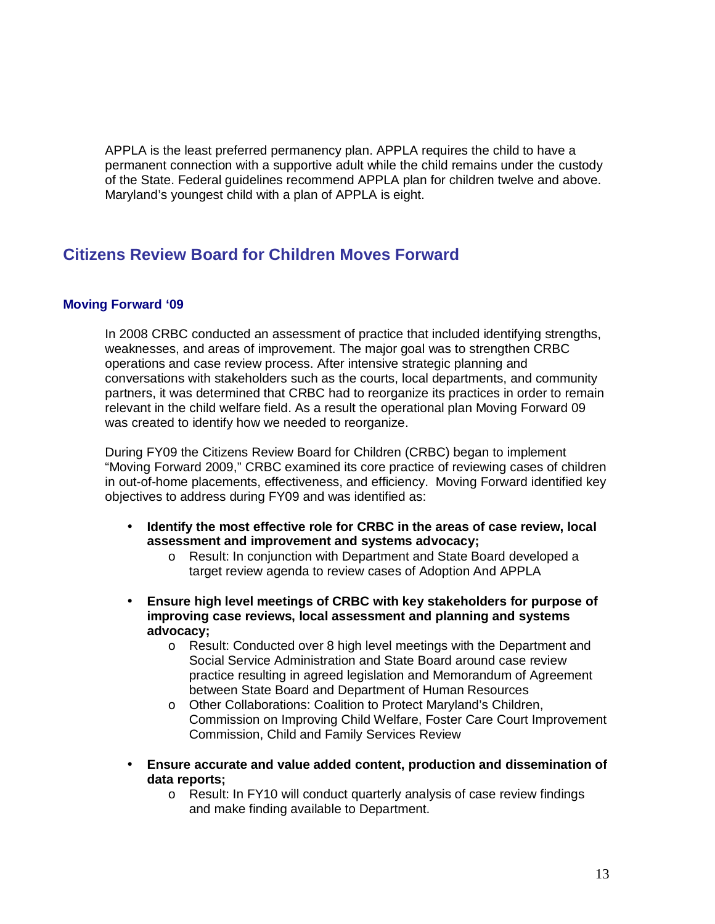APPLA is the least preferred permanency plan. APPLA requires the child to have a permanent connection with a supportive adult while the child remains under the custody of the State. Federal guidelines recommend APPLA plan for children twelve and above. Maryland's youngest child with a plan of APPLA is eight.

## **Citizens Review Board for Children Moves Forward**

#### **Moving Forward '09**

In 2008 CRBC conducted an assessment of practice that included identifying strengths, weaknesses, and areas of improvement. The major goal was to strengthen CRBC operations and case review process. After intensive strategic planning and conversations with stakeholders such as the courts, local departments, and community partners, it was determined that CRBC had to reorganize its practices in order to remain relevant in the child welfare field. As a result the operational plan Moving Forward 09 was created to identify how we needed to reorganize.

During FY09 the Citizens Review Board for Children (CRBC) began to implement "Moving Forward 2009," CRBC examined its core practice of reviewing cases of children in out-of-home placements, effectiveness, and efficiency. Moving Forward identified key objectives to address during FY09 and was identified as:

- **Identify the most effective role for CRBC in the areas of case review, local assessment and improvement and systems advocacy;**
	- o Result: In conjunction with Department and State Board developed a target review agenda to review cases of Adoption And APPLA
- **Ensure high level meetings of CRBC with key stakeholders for purpose of improving case reviews, local assessment and planning and systems advocacy;**
	- o Result: Conducted over 8 high level meetings with the Department and Social Service Administration and State Board around case review practice resulting in agreed legislation and Memorandum of Agreement between State Board and Department of Human Resources
	- o Other Collaborations: Coalition to Protect Maryland's Children, Commission on Improving Child Welfare, Foster Care Court Improvement Commission, Child and Family Services Review
- **Ensure accurate and value added content, production and dissemination of data reports;**
	- o Result: In FY10 will conduct quarterly analysis of case review findings and make finding available to Department.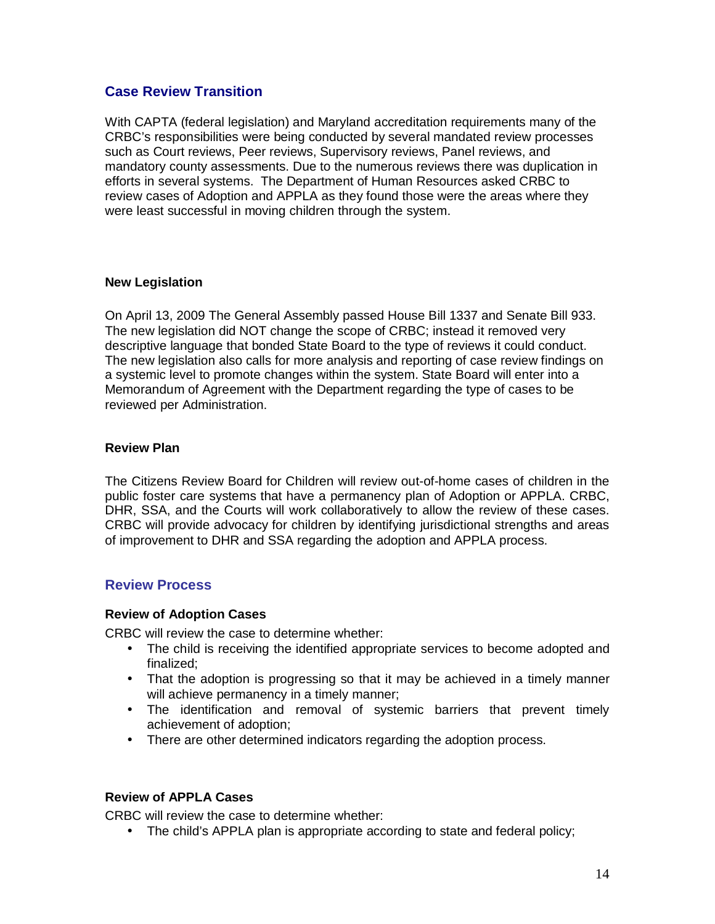#### **Case Review Transition**

With CAPTA (federal legislation) and Maryland accreditation requirements many of the CRBC's responsibilities were being conducted by several mandated review processes such as Court reviews, Peer reviews, Supervisory reviews, Panel reviews, and mandatory county assessments. Due to the numerous reviews there was duplication in efforts in several systems. The Department of Human Resources asked CRBC to review cases of Adoption and APPLA as they found those were the areas where they were least successful in moving children through the system.

#### **New Legislation**

On April 13, 2009 The General Assembly passed House Bill 1337 and Senate Bill 933. The new legislation did NOT change the scope of CRBC; instead it removed very descriptive language that bonded State Board to the type of reviews it could conduct. The new legislation also calls for more analysis and reporting of case review findings on a systemic level to promote changes within the system. State Board will enter into a Memorandum of Agreement with the Department regarding the type of cases to be reviewed per Administration.

#### **Review Plan**

The Citizens Review Board for Children will review out-of-home cases of children in the public foster care systems that have a permanency plan of Adoption or APPLA. CRBC, DHR, SSA, and the Courts will work collaboratively to allow the review of these cases. CRBC will provide advocacy for children by identifying jurisdictional strengths and areas of improvement to DHR and SSA regarding the adoption and APPLA process.

#### **Review Process**

#### **Review of Adoption Cases**

CRBC will review the case to determine whether:

- The child is receiving the identified appropriate services to become adopted and finalized;
- That the adoption is progressing so that it may be achieved in a timely manner will achieve permanency in a timely manner;
- The identification and removal of systemic barriers that prevent timely achievement of adoption;
- There are other determined indicators regarding the adoption process.

#### **Review of APPLA Cases**

CRBC will review the case to determine whether:

• The child's APPLA plan is appropriate according to state and federal policy;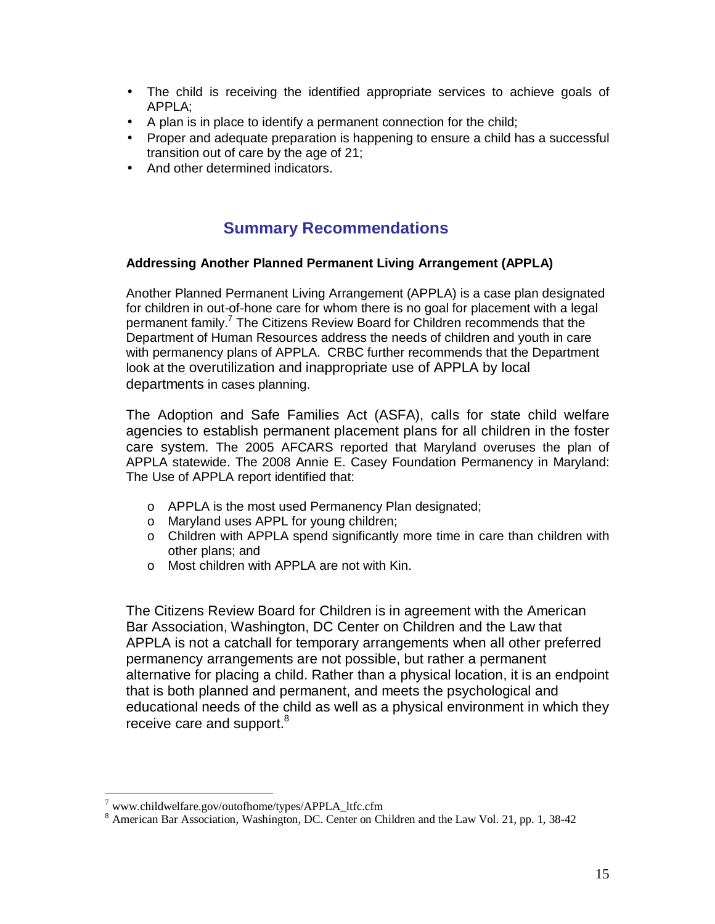- The child is receiving the identified appropriate services to achieve goals of APPLA;
- A plan is in place to identify a permanent connection for the child;
- Proper and adequate preparation is happening to ensure a child has a successful transition out of care by the age of 21;
- And other determined indicators.

## **Summary Recommendations**

#### **Addressing Another Planned Permanent Living Arrangement (APPLA)**

Another Planned Permanent Living Arrangement (APPLA) is a case plan designated for children in out-of-hone care for whom there is no goal for placement with a legal permanent family.<sup>7</sup> The Citizens Review Board for Children recommends that the Department of Human Resources address the needs of children and youth in care with permanency plans of APPLA. CRBC further recommends that the Department look at the overutilization and inappropriate use of APPLA by local departments in cases planning.

The Adoption and Safe Families Act (ASFA), calls for state child welfare agencies to establish permanent placement plans for all children in the foster care system. The 2005 AFCARS reported that Maryland overuses the plan of APPLA statewide. The 2008 Annie E. Casey Foundation Permanency in Maryland: The Use of APPLA report identified that:

- o APPLA is the most used Permanency Plan designated;
- o Maryland uses APPL for young children;
- o Children with APPLA spend significantly more time in care than children with other plans; and
- o Most children with APPLA are not with Kin.

The Citizens Review Board for Children is in agreement with the American Bar Association, Washington, DC Center on Children and the Law that APPLA is not a catchall for temporary arrangements when all other preferred permanency arrangements are not possible, but rather a permanent alternative for placing a child. Rather than a physical location, it is an endpoint that is both planned and permanent, and meets the psychological and educational needs of the child as well as a physical environment in which they receive care and support.<sup>8</sup>

<sup>&</sup>lt;sup>7</sup> [www.childwelfare.gov/outofhome/types/APPLA\\_ltfc.cfm](http://www.childwelfare.gov/outofhome/types/APPLA_ltfc.cfm)

<sup>&</sup>lt;sup>8</sup> American Bar Association, Washington, DC. Center on Children and the Law Vol. 21, pp. 1, 38-42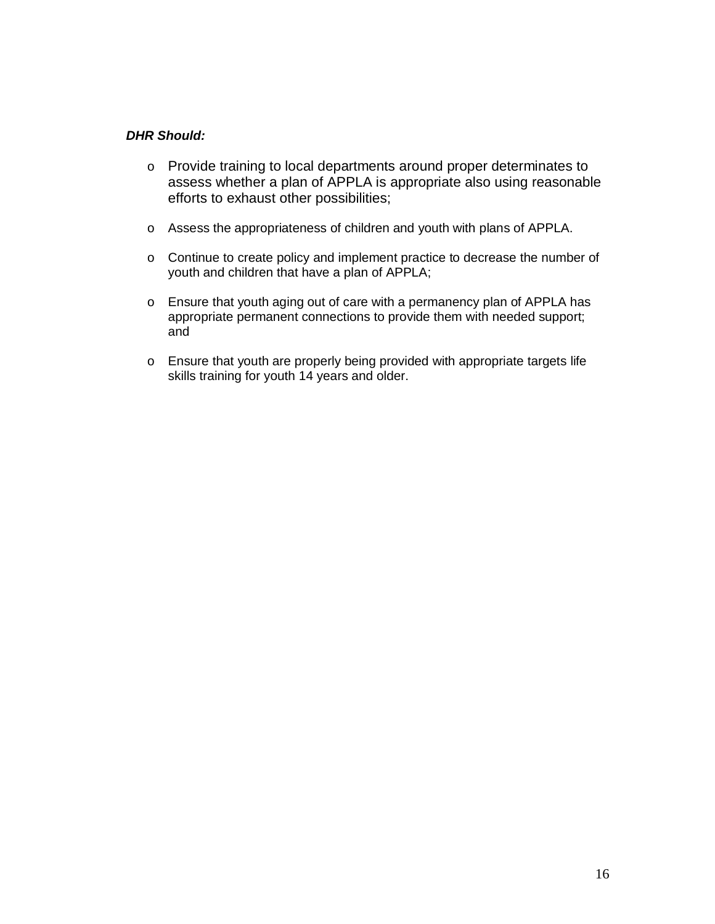#### *DHR Should:*

- o Provide training to local departments around proper determinates to assess whether a plan of APPLA is appropriate also using reasonable efforts to exhaust other possibilities;
- o Assess the appropriateness of children and youth with plans of APPLA.
- o Continue to create policy and implement practice to decrease the number of youth and children that have a plan of APPLA;
- o Ensure that youth aging out of care with a permanency plan of APPLA has appropriate permanent connections to provide them with needed support; and
- o Ensure that youth are properly being provided with appropriate targets life skills training for youth 14 years and older.